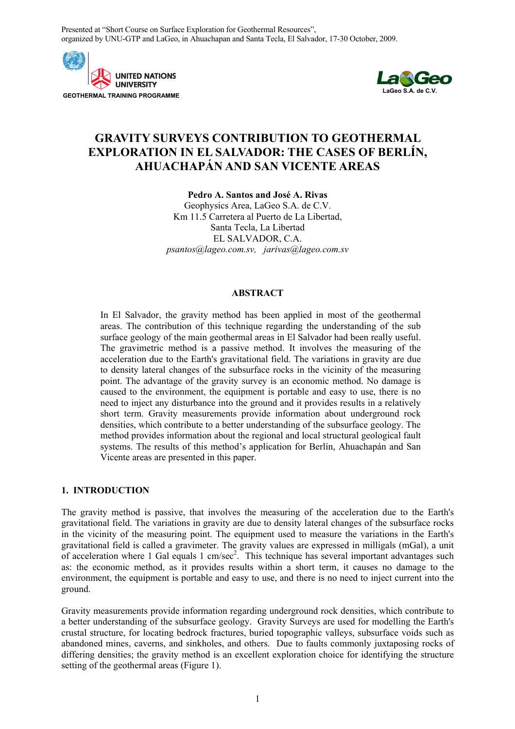Presented at "Short Course on Surface Exploration for Geothermal Resources", organized by UNU-GTP and LaGeo, in Ahuachapan and Santa Tecla, El Salvador, 17-30 October, 2009.





# **GRAVITY SURVEYS CONTRIBUTION TO GEOTHERMAL EXPLORATION IN EL SALVADOR: THE CASES OF BERLÍN, AHUACHAPÁN AND SAN VICENTE AREAS**

**Pedro A. Santos and José A. Rivas**  Geophysics Area, LaGeo S.A. de C.V. Km 11.5 Carretera al Puerto de La Libertad, Santa Tecla, La Libertad EL SALVADOR, C.A. *psantos@lageo.com.sv, jarivas@lageo.com.sv*

### **ABSTRACT**

In El Salvador, the gravity method has been applied in most of the geothermal areas. The contribution of this technique regarding the understanding of the sub surface geology of the main geothermal areas in El Salvador had been really useful. The gravimetric method is a passive method. It involves the measuring of the acceleration due to the Earth's gravitational field. The variations in gravity are due to density lateral changes of the subsurface rocks in the vicinity of the measuring point. The advantage of the gravity survey is an economic method. No damage is caused to the environment, the equipment is portable and easy to use, there is no need to inject any disturbance into the ground and it provides results in a relatively short term. Gravity measurements provide information about underground rock densities, which contribute to a better understanding of the subsurface geology. The method provides information about the regional and local structural geological fault systems. The results of this method's application for Berlín, Ahuachapán and San Vicente areas are presented in this paper.

# **1. INTRODUCTION**

The gravity method is passive, that involves the measuring of the acceleration due to the Earth's gravitational field. The variations in gravity are due to density lateral changes of the subsurface rocks in the vicinity of the measuring point. The equipment used to measure the variations in the Earth's gravitational field is called a gravimeter. The gravity values are expressed in milligals (mGal), a unit of acceleration where 1 Gal equals 1 cm/sec<sup>2</sup>. This technique has several important advantages such as: the economic method, as it provides results within a short term, it causes no damage to the environment, the equipment is portable and easy to use, and there is no need to inject current into the ground.

Gravity measurements provide information regarding underground rock densities, which contribute to a better understanding of the subsurface geology. Gravity Surveys are used for modelling the Earth's crustal structure, for locating bedrock fractures, buried topographic valleys, subsurface voids such as abandoned mines, caverns, and sinkholes, and others. Due to faults commonly juxtaposing rocks of differing densities; the gravity method is an excellent exploration choice for identifying the structure setting of the geothermal areas (Figure 1).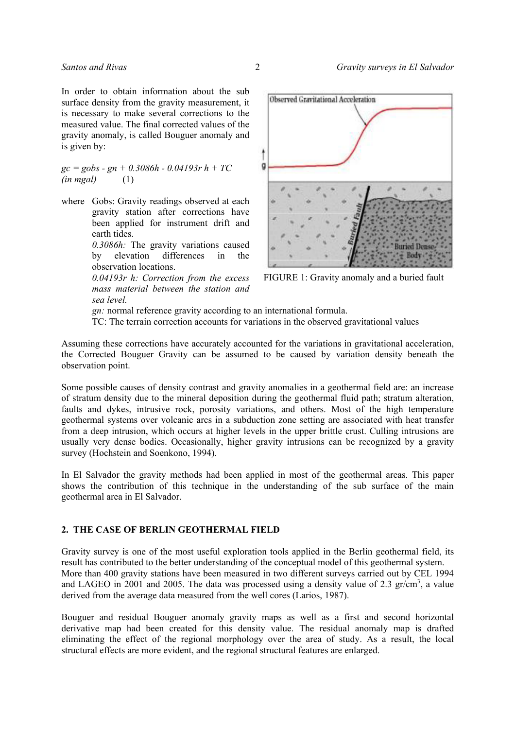In order to obtain information about the sub surface density from the gravity measurement, it is necessary to make several corrections to the measured value. The final corrected values of the gravity anomaly, is called Bouguer anomaly and is given by:

*gc = gobs - gn + 0.3086h - 0.04193r h + TC (in mgal)* (1)

where Gobs: Gravity readings observed at each gravity station after corrections have been applied for instrument drift and earth tides.

> *0.3086h:* The gravity variations caused by elevation differences in the observation locations.

> *0.04193r h: Correction from the excess mass material between the station and sea level.*



FIGURE 1: Gravity anomaly and a buried fault

 *gn:* normal reference gravity according to an international formula. TC: The terrain correction accounts for variations in the observed gravitational values

Assuming these corrections have accurately accounted for the variations in gravitational acceleration, the Corrected Bouguer Gravity can be assumed to be caused by variation density beneath the observation point.

Some possible causes of density contrast and gravity anomalies in a geothermal field are: an increase of stratum density due to the mineral deposition during the geothermal fluid path; stratum alteration, faults and dykes, intrusive rock, porosity variations, and others. Most of the high temperature geothermal systems over volcanic arcs in a subduction zone setting are associated with heat transfer from a deep intrusion, which occurs at higher levels in the upper brittle crust. Culling intrusions are usually very dense bodies. Occasionally, higher gravity intrusions can be recognized by a gravity survey (Hochstein and Soenkono, 1994).

In El Salvador the gravity methods had been applied in most of the geothermal areas. This paper shows the contribution of this technique in the understanding of the sub surface of the main geothermal area in El Salvador.

## **2. THE CASE OF BERLIN GEOTHERMAL FIELD**

Gravity survey is one of the most useful exploration tools applied in the Berlin geothermal field, its result has contributed to the better understanding of the conceptual model of this geothermal system. More than 400 gravity stations have been measured in two different surveys carried out by CEL 1994 and LAGEO in 2001 and 2005. The data was processed using a density value of 2.3  $gr/cm^3$ , a value derived from the average data measured from the well cores (Larios, 1987).

Bouguer and residual Bouguer anomaly gravity maps as well as a first and second horizontal derivative map had been created for this density value. The residual anomaly map is drafted eliminating the effect of the regional morphology over the area of study. As a result, the local structural effects are more evident, and the regional structural features are enlarged.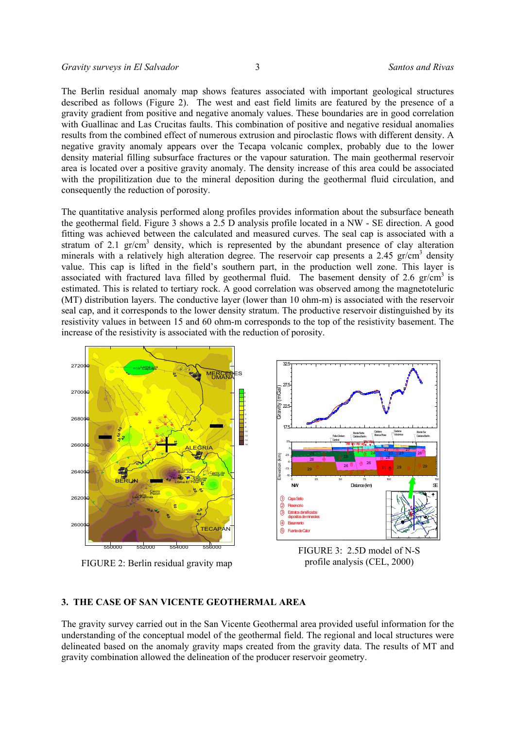The Berlin residual anomaly map shows features associated with important geological structures described as follows (Figure 2). The west and east field limits are featured by the presence of a gravity gradient from positive and negative anomaly values. These boundaries are in good correlation with Guallinac and Las Crucitas faults. This combination of positive and negative residual anomalies results from the combined effect of numerous extrusion and piroclastic flows with different density. A negative gravity anomaly appears over the Tecapa volcanic complex, probably due to the lower density material filling subsurface fractures or the vapour saturation. The main geothermal reservoir area is located over a positive gravity anomaly. The density increase of this area could be associated with the propilitization due to the mineral deposition during the geothermal fluid circulation, and consequently the reduction of porosity.

The quantitative analysis performed along profiles provides information about the subsurface beneath the geothermal field. Figure 3 shows a 2.5 D analysis profile located in a NW - SE direction. A good fitting was achieved between the calculated and measured curves. The seal cap is associated with a stratum of 2.1  $gr/cm<sup>3</sup>$  density, which is represented by the abundant presence of clay alteration minerals with a relatively high alteration degree. The reservoir cap presents a 2.45 gr/cm<sup>3</sup> density value. This cap is lifted in the field's southern part, in the production well zone. This layer is associated with fractured lava filled by geothermal fluid. The basement density of 2.6  $gr/cm<sup>3</sup>$  is estimated. This is related to tertiary rock. A good correlation was observed among the magnetoteluric (MT) distribution layers. The conductive layer (lower than 10 ohm-m) is associated with the reservoir seal cap, and it corresponds to the lower density stratum. The productive reservoir distinguished by its resistivity values in between 15 and 60 ohm-m corresponds to the top of the resistivity basement. The increase of the resistivity is associated with the reduction of porosity.



FIGURE 2: Berlin residual gravity map

profile analysis (CEL, 2000)

## **3. THE CASE OF SAN VICENTE GEOTHERMAL AREA**

The gravity survey carried out in the San Vicente Geothermal area provided useful information for the understanding of the conceptual model of the geothermal field. The regional and local structures were delineated based on the anomaly gravity maps created from the gravity data. The results of MT and gravity combination allowed the delineation of the producer reservoir geometry.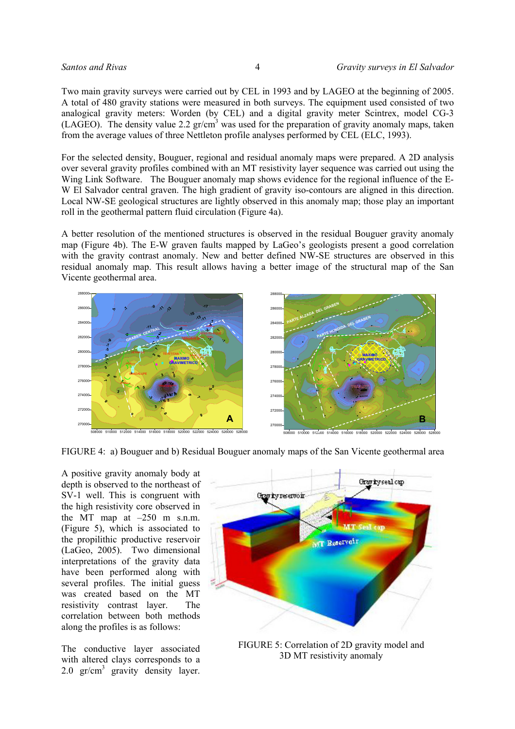Two main gravity surveys were carried out by CEL in 1993 and by LAGEO at the beginning of 2005. A total of 480 gravity stations were measured in both surveys. The equipment used consisted of two analogical gravity meters: Worden (by CEL) and a digital gravity meter Scintrex, model CG-3  $(LAGEO)$ . The density value 2.2 gr/cm<sup>3</sup> was used for the preparation of gravity anomaly maps, taken from the average values of three Nettleton profile analyses performed by CEL (ELC, 1993).

For the selected density, Bouguer, regional and residual anomaly maps were prepared. A 2D analysis over several gravity profiles combined with an MT resistivity layer sequence was carried out using the Wing Link Software. The Bouguer anomaly map shows evidence for the regional influence of the E-W El Salvador central graven. The high gradient of gravity iso-contours are aligned in this direction. Local NW-SE geological structures are lightly observed in this anomaly map; those play an important roll in the geothermal pattern fluid circulation (Figure 4a).

A better resolution of the mentioned structures is observed in the residual Bouguer gravity anomaly map (Figure 4b). The E-W graven faults mapped by LaGeo's geologists present a good correlation with the gravity contrast anomaly. New and better defined NW-SE structures are observed in this residual anomaly map. This result allows having a better image of the structural map of the San Vicente geothermal area.



FIGURE 4: a) Bouguer and b) Residual Bouguer anomaly maps of the San Vicente geothermal area

A positive gravity anomaly body at depth is observed to the northeast of SV-1 well. This is congruent with the high resistivity core observed in the MT map at  $-250$  m s.n.m. (Figure 5), which is associated to the propilithic productive reservoir (LaGeo, 2005). Two dimensional interpretations of the gravity data have been performed along with several profiles. The initial guess was created based on the MT resistivity contrast layer. The correlation between both methods along the profiles is as follows:

The conductive layer associated with altered clays corresponds to a 2.0  $gr/cm^3$  gravity density layer.



FIGURE 5: Correlation of 2D gravity model and 3D MT resistivity anomaly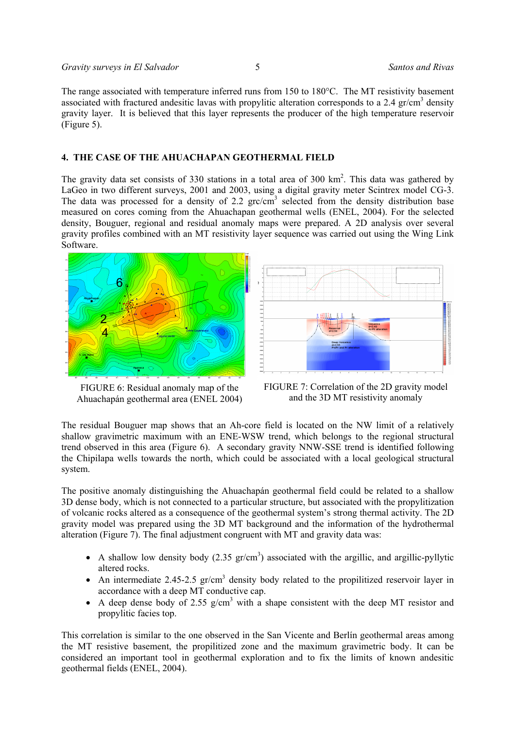The range associated with temperature inferred runs from 150 to 180°C. The MT resistivity basement associated with fractured andesitic lavas with propylitic alteration corresponds to a 2.4  $\text{gr/cm}^3$  density gravity layer. It is believed that this layer represents the producer of the high temperature reservoir (Figure 5).

# **4. THE CASE OF THE AHUACHAPAN GEOTHERMAL FIELD**

The gravity data set consists of 330 stations in a total area of 300  $\text{km}^2$ . This data was gathered by LaGeo in two different surveys, 2001 and 2003, using a digital gravity meter Scintrex model CG-3. The data was processed for a density of 2.2  $grc/cm<sup>3</sup>$  selected from the density distribution base measured on cores coming from the Ahuachapan geothermal wells (ENEL, 2004). For the selected density, Bouguer, regional and residual anomaly maps were prepared. A 2D analysis over several gravity profiles combined with an MT resistivity layer sequence was carried out using the Wing Link Software.



FIGURE 6: Residual anomaly map of the Ahuachapán geothermal area (ENEL 2004)



FIGURE 7: Correlation of the 2D gravity model and the 3D MT resistivity anomaly

The residual Bouguer map shows that an Ah-core field is located on the NW limit of a relatively shallow gravimetric maximum with an ENE-WSW trend, which belongs to the regional structural trend observed in this area (Figure 6). A secondary gravity NNW-SSE trend is identified following the Chipilapa wells towards the north, which could be associated with a local geological structural system.

The positive anomaly distinguishing the Ahuachapán geothermal field could be related to a shallow 3D dense body, which is not connected to a particular structure, but associated with the propylitization of volcanic rocks altered as a consequence of the geothermal system's strong thermal activity. The 2D gravity model was prepared using the 3D MT background and the information of the hydrothermal alteration (Figure 7). The final adjustment congruent with MT and gravity data was:

- A shallow low density body  $(2.35 \text{ gr/cm}^3)$  associated with the argillic, and argillic-pyllytic altered rocks.
- An intermediate 2.45-2.5  $gr/cm<sup>3</sup>$  density body related to the propilitized reservoir layer in accordance with a deep MT conductive cap.
- A deep dense body of 2.55  $g/cm<sup>3</sup>$  with a shape consistent with the deep MT resistor and propylitic facies top.

This correlation is similar to the one observed in the San Vicente and Berlín geothermal areas among the MT resistive basement, the propilitized zone and the maximum gravimetric body. It can be considered an important tool in geothermal exploration and to fix the limits of known andesitic geothermal fields (ENEL, 2004).